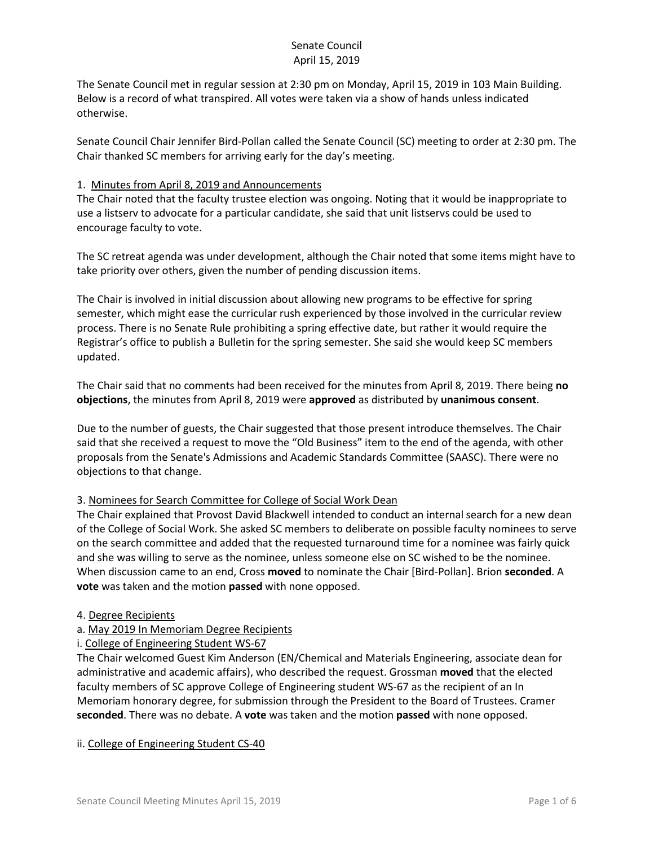The Senate Council met in regular session at 2:30 pm on Monday, April 15, 2019 in 103 Main Building. Below is a record of what transpired. All votes were taken via a show of hands unless indicated otherwise.

Senate Council Chair Jennifer Bird-Pollan called the Senate Council (SC) meeting to order at 2:30 pm. The Chair thanked SC members for arriving early for the day's meeting.

#### 1. Minutes from April 8, 2019 and Announcements

The Chair noted that the faculty trustee election was ongoing. Noting that it would be inappropriate to use a listserv to advocate for a particular candidate, she said that unit listservs could be used to encourage faculty to vote.

The SC retreat agenda was under development, although the Chair noted that some items might have to take priority over others, given the number of pending discussion items.

The Chair is involved in initial discussion about allowing new programs to be effective for spring semester, which might ease the curricular rush experienced by those involved in the curricular review process. There is no Senate Rule prohibiting a spring effective date, but rather it would require the Registrar's office to publish a Bulletin for the spring semester. She said she would keep SC members updated.

The Chair said that no comments had been received for the minutes from April 8, 2019. There being **no objections**, the minutes from April 8, 2019 were **approved** as distributed by **unanimous consent**.

Due to the number of guests, the Chair suggested that those present introduce themselves. The Chair said that she received a request to move the "Old Business" item to the end of the agenda, with other proposals from the Senate's Admissions and Academic Standards Committee (SAASC). There were no objections to that change.

#### 3. Nominees for Search Committee for College of Social Work Dean

The Chair explained that Provost David Blackwell intended to conduct an internal search for a new dean of the College of Social Work. She asked SC members to deliberate on possible faculty nominees to serve on the search committee and added that the requested turnaround time for a nominee was fairly quick and she was willing to serve as the nominee, unless someone else on SC wished to be the nominee. When discussion came to an end, Cross **moved** to nominate the Chair [Bird-Pollan]. Brion **seconded**. A **vote** was taken and the motion **passed** with none opposed.

#### 4. Degree Recipients

- a. May 2019 In Memoriam Degree Recipients
- i. College of Engineering Student WS-67

The Chair welcomed Guest Kim Anderson (EN/Chemical and Materials Engineering, associate dean for administrative and academic affairs), who described the request. Grossman **moved** that the elected faculty members of SC approve College of Engineering student WS-67 as the recipient of an In Memoriam honorary degree, for submission through the President to the Board of Trustees. Cramer **seconded**. There was no debate. A **vote** was taken and the motion **passed** with none opposed.

#### ii. College of Engineering Student CS-40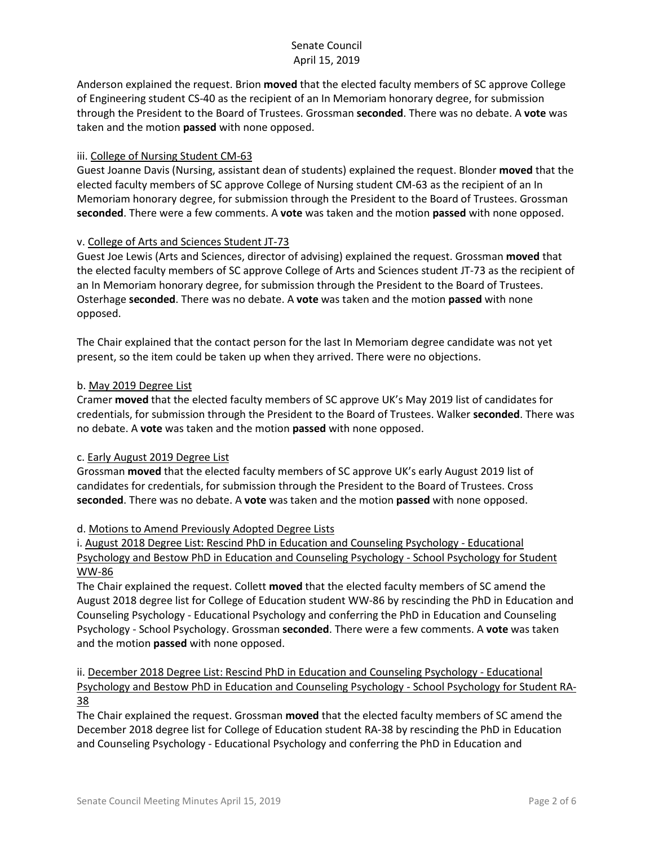Anderson explained the request. Brion **moved** that the elected faculty members of SC approve College of Engineering student CS-40 as the recipient of an In Memoriam honorary degree, for submission through the President to the Board of Trustees. Grossman **seconded**. There was no debate. A **vote** was taken and the motion **passed** with none opposed.

### iii. College of Nursing Student CM-63

Guest Joanne Davis (Nursing, assistant dean of students) explained the request. Blonder **moved** that the elected faculty members of SC approve College of Nursing student CM-63 as the recipient of an In Memoriam honorary degree, for submission through the President to the Board of Trustees. Grossman **seconded**. There were a few comments. A **vote** was taken and the motion **passed** with none opposed.

#### v. College of Arts and Sciences Student JT-73

Guest Joe Lewis (Arts and Sciences, director of advising) explained the request. Grossman **moved** that the elected faculty members of SC approve College of Arts and Sciences student JT-73 as the recipient of an In Memoriam honorary degree, for submission through the President to the Board of Trustees. Osterhage **seconded**. There was no debate. A **vote** was taken and the motion **passed** with none opposed.

The Chair explained that the contact person for the last In Memoriam degree candidate was not yet present, so the item could be taken up when they arrived. There were no objections.

#### b. May 2019 Degree List

Cramer **moved** that the elected faculty members of SC approve UK's May 2019 list of candidates for credentials, for submission through the President to the Board of Trustees. Walker **seconded**. There was no debate. A **vote** was taken and the motion **passed** with none opposed.

#### c. Early August 2019 Degree List

Grossman **moved** that the elected faculty members of SC approve UK's early August 2019 list of candidates for credentials, for submission through the President to the Board of Trustees. Cross **seconded**. There was no debate. A **vote** was taken and the motion **passed** with none opposed.

#### d. Motions to Amend Previously Adopted Degree Lists

i. August 2018 Degree List: Rescind PhD in Education and Counseling Psychology - Educational Psychology and Bestow PhD in Education and Counseling Psychology - School Psychology for Student WW-86

The Chair explained the request. Collett **moved** that the elected faculty members of SC amend the August 2018 degree list for College of Education student WW-86 by rescinding the PhD in Education and Counseling Psychology - Educational Psychology and conferring the PhD in Education and Counseling Psychology - School Psychology. Grossman **seconded**. There were a few comments. A **vote** was taken and the motion **passed** with none opposed.

ii. December 2018 Degree List: Rescind PhD in Education and Counseling Psychology - Educational Psychology and Bestow PhD in Education and Counseling Psychology - School Psychology for Student RA-38

The Chair explained the request. Grossman **moved** that the elected faculty members of SC amend the December 2018 degree list for College of Education student RA-38 by rescinding the PhD in Education and Counseling Psychology - Educational Psychology and conferring the PhD in Education and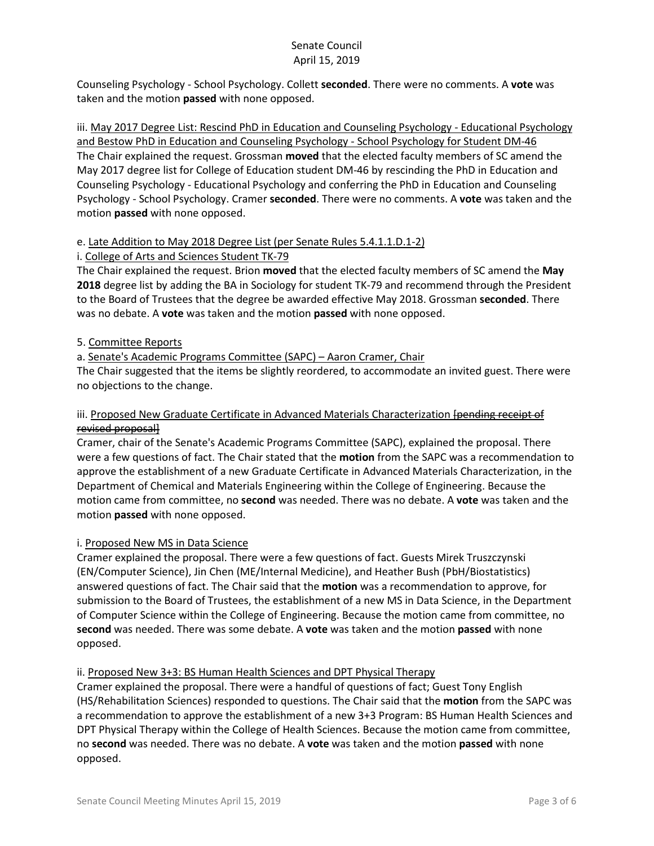Counseling Psychology - School Psychology. Collett **seconded**. There were no comments. A **vote** was taken and the motion **passed** with none opposed.

iii. May 2017 Degree List: Rescind PhD in Education and Counseling Psychology - Educational Psychology and Bestow PhD in Education and Counseling Psychology - School Psychology for Student DM-46 The Chair explained the request. Grossman **moved** that the elected faculty members of SC amend the May 2017 degree list for College of Education student DM-46 by rescinding the PhD in Education and Counseling Psychology - Educational Psychology and conferring the PhD in Education and Counseling Psychology - School Psychology. Cramer **seconded**. There were no comments. A **vote** was taken and the motion **passed** with none opposed.

### e. Late Addition to May 2018 Degree List (per Senate Rules 5.4.1.1.D.1-2)

### i. College of Arts and Sciences Student TK-79

The Chair explained the request. Brion **moved** that the elected faculty members of SC amend the **May 2018** degree list by adding the BA in Sociology for student TK-79 and recommend through the President to the Board of Trustees that the degree be awarded effective May 2018. Grossman **seconded**. There was no debate. A **vote** was taken and the motion **passed** with none opposed.

### 5. Committee Reports

### a. Senate's Academic Programs Committee (SAPC) – Aaron Cramer, Chair

The Chair suggested that the items be slightly reordered, to accommodate an invited guest. There were no objections to the change.

### iii. Proposed New Graduate Certificate in Advanced Materials Characterization [pending receipt of revised proposal]

Cramer, chair of the Senate's Academic Programs Committee (SAPC), explained the proposal. There were a few questions of fact. The Chair stated that the **motion** from the SAPC was a recommendation to approve the establishment of a new Graduate Certificate in Advanced Materials Characterization, in the Department of Chemical and Materials Engineering within the College of Engineering. Because the motion came from committee, no **second** was needed. There was no debate. A **vote** was taken and the motion **passed** with none opposed.

#### i. Proposed New MS in Data Science

Cramer explained the proposal. There were a few questions of fact. Guests Mirek Truszczynski (EN/Computer Science), Jin Chen (ME/Internal Medicine), and Heather Bush (PbH/Biostatistics) answered questions of fact. The Chair said that the **motion** was a recommendation to approve, for submission to the Board of Trustees, the establishment of a new MS in Data Science, in the Department of Computer Science within the College of Engineering. Because the motion came from committee, no **second** was needed. There was some debate. A **vote** was taken and the motion **passed** with none opposed.

#### ii. Proposed New 3+3: BS Human Health Sciences and DPT Physical Therapy

Cramer explained the proposal. There were a handful of questions of fact; Guest Tony English (HS/Rehabilitation Sciences) responded to questions. The Chair said that the **motion** from the SAPC was a recommendation to approve the establishment of a new 3+3 Program: BS Human Health Sciences and DPT Physical Therapy within the College of Health Sciences. Because the motion came from committee, no **second** was needed. There was no debate. A **vote** was taken and the motion **passed** with none opposed.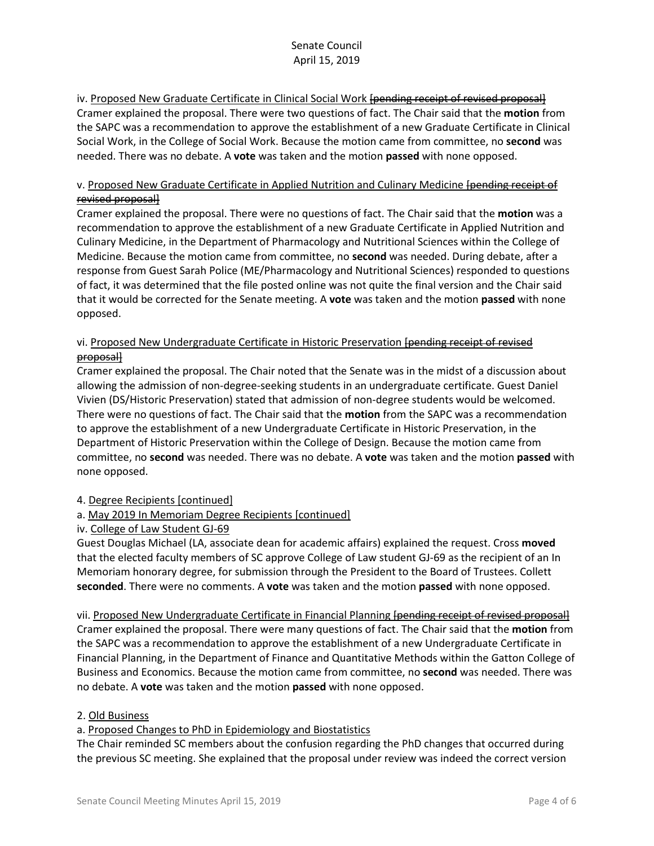iv. Proposed New Graduate Certificate in Clinical Social Work [pending receipt of revised proposal] Cramer explained the proposal. There were two questions of fact. The Chair said that the **motion** from the SAPC was a recommendation to approve the establishment of a new Graduate Certificate in Clinical Social Work, in the College of Social Work. Because the motion came from committee, no **second** was needed. There was no debate. A **vote** was taken and the motion **passed** with none opposed.

### v. Proposed New Graduate Certificate in Applied Nutrition and Culinary Medicine [pending receipt of revised proposal]

Cramer explained the proposal. There were no questions of fact. The Chair said that the **motion** was a recommendation to approve the establishment of a new Graduate Certificate in Applied Nutrition and Culinary Medicine, in the Department of Pharmacology and Nutritional Sciences within the College of Medicine. Because the motion came from committee, no **second** was needed. During debate, after a response from Guest Sarah Police (ME/Pharmacology and Nutritional Sciences) responded to questions of fact, it was determined that the file posted online was not quite the final version and the Chair said that it would be corrected for the Senate meeting. A **vote** was taken and the motion **passed** with none opposed.

## vi. Proposed New Undergraduate Certificate in Historic Preservation [pending receipt of revised proposal]

Cramer explained the proposal. The Chair noted that the Senate was in the midst of a discussion about allowing the admission of non-degree-seeking students in an undergraduate certificate. Guest Daniel Vivien (DS/Historic Preservation) stated that admission of non-degree students would be welcomed. There were no questions of fact. The Chair said that the **motion** from the SAPC was a recommendation to approve the establishment of a new Undergraduate Certificate in Historic Preservation, in the Department of Historic Preservation within the College of Design. Because the motion came from committee, no **second** was needed. There was no debate. A **vote** was taken and the motion **passed** with none opposed.

#### 4. Degree Recipients [continued]

# a. May 2019 In Memoriam Degree Recipients [continued]

#### iv. College of Law Student GJ-69

Guest Douglas Michael (LA, associate dean for academic affairs) explained the request. Cross **moved**  that the elected faculty members of SC approve College of Law student GJ-69 as the recipient of an In Memoriam honorary degree, for submission through the President to the Board of Trustees. Collett **seconded**. There were no comments. A **vote** was taken and the motion **passed** with none opposed.

vii. Proposed New Undergraduate Certificate in Financial Planning [pending receipt of revised proposal] Cramer explained the proposal. There were many questions of fact. The Chair said that the **motion** from the SAPC was a recommendation to approve the establishment of a new Undergraduate Certificate in Financial Planning, in the Department of Finance and Quantitative Methods within the Gatton College of Business and Economics. Because the motion came from committee, no **second** was needed. There was no debate. A **vote** was taken and the motion **passed** with none opposed.

#### 2. Old Business

#### a. Proposed Changes to PhD in Epidemiology and Biostatistics

The Chair reminded SC members about the confusion regarding the PhD changes that occurred during the previous SC meeting. She explained that the proposal under review was indeed the correct version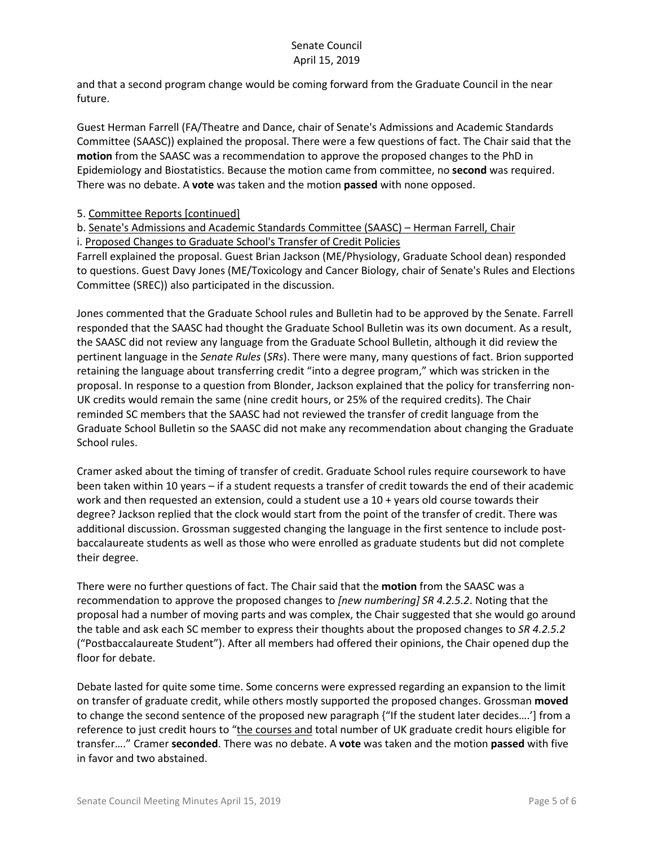and that a second program change would be coming forward from the Graduate Council in the near future.

Guest Herman Farrell (FA/Theatre and Dance, chair of Senate's Admissions and Academic Standards Committee (SAASC)) explained the proposal. There were a few questions of fact. The Chair said that the **motion** from the SAASC was a recommendation to approve the proposed changes to the PhD in Epidemiology and Biostatistics. Because the motion came from committee, no **second** was required. There was no debate. A **vote** was taken and the motion **passed** with none opposed.

5. Committee Reports [continued]

b. Senate's Admissions and Academic Standards Committee (SAASC) – Herman Farrell, Chair i. Proposed Changes to Graduate School's Transfer of Credit Policies

Farrell explained the proposal. Guest Brian Jackson (ME/Physiology, Graduate School dean) responded to questions. Guest Davy Jones (ME/Toxicology and Cancer Biology, chair of Senate's Rules and Elections Committee (SREC)) also participated in the discussion.

Jones commented that the Graduate School rules and Bulletin had to be approved by the Senate. Farrell responded that the SAASC had thought the Graduate School Bulletin was its own document. As a result, the SAASC did not review any language from the Graduate School Bulletin, although it did review the pertinent language in the *Senate Rules* (*SRs*). There were many, many questions of fact. Brion supported retaining the language about transferring credit "into a degree program," which was stricken in the proposal. In response to a question from Blonder, Jackson explained that the policy for transferring non-UK credits would remain the same (nine credit hours, or 25% of the required credits). The Chair reminded SC members that the SAASC had not reviewed the transfer of credit language from the Graduate School Bulletin so the SAASC did not make any recommendation about changing the Graduate School rules.

Cramer asked about the timing of transfer of credit. Graduate School rules require coursework to have been taken within 10 years – if a student requests a transfer of credit towards the end of their academic work and then requested an extension, could a student use a 10 + years old course towards their degree? Jackson replied that the clock would start from the point of the transfer of credit. There was additional discussion. Grossman suggested changing the language in the first sentence to include postbaccalaureate students as well as those who were enrolled as graduate students but did not complete their degree.

There were no further questions of fact. The Chair said that the **motion** from the SAASC was a recommendation to approve the proposed changes to *[new numbering] SR 4.2.5.2*. Noting that the proposal had a number of moving parts and was complex, the Chair suggested that she would go around the table and ask each SC member to express their thoughts about the proposed changes to *SR 4.2.5.2* ("Postbaccalaureate Student"). After all members had offered their opinions, the Chair opened dup the floor for debate.

Debate lasted for quite some time. Some concerns were expressed regarding an expansion to the limit on transfer of graduate credit, while others mostly supported the proposed changes. Grossman **moved** to change the second sentence of the proposed new paragraph {"If the student later decides….'] from a reference to just credit hours to "the courses and total number of UK graduate credit hours eligible for transfer…." Cramer **seconded**. There was no debate. A **vote** was taken and the motion **passed** with five in favor and two abstained.